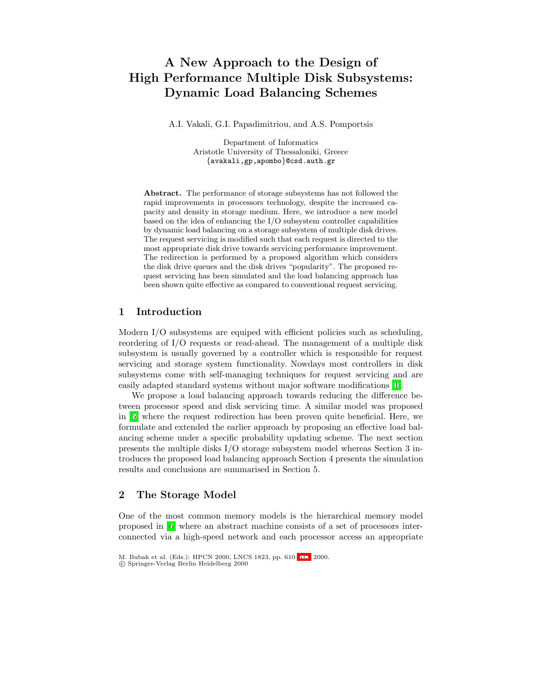# **A New Approach to the Design of High Performance Multiple Disk Subsystems: Dynamic Load Balancing Schemes**

A.I. Vakali, G.I. Papadimitriou, and A.S. Pomportsis

Department of Informatics Aristotle University of Thessaloniki, Greece {avakali,gp,apombo}@csd.auth.gr

**Abstract.** The performance of storage subsystems has not followed the rapid improvements in processors technology, despite the increased capacity and density in storage medium. Here, we introduce a new model based on the idea of enhancing the I/O subsystem controller capabilities by dynamic load balancing on a storage subsystem of multiple disk drives. The request servicing is modified such that each request is directed to the most appropriate disk drive towards servicing performance improvement. The redirection is performed by a proposed algorithm which considers the disk drive queues and the disk drives "popularity". The proposed request servicing has been simulated and the load balancing approach has been shown quite effective as compared to conventional request servicing.

### **1 Introduction**

Modern I/O subsystems are equiped with efficient policies such as scheduling, reordering of I/O requests or read-ahead. The management of a multiple disk subsystem is usually governed by a controller which is responsible for request servicing and storage system functionality. Nowdays most controllers in disk subsystems come with self-managing techniques for request servicing and are easily adapted standard systems without major software modifications [\[1\]](#page-3-0).

We propose a load balancing approach towards reducing the difference between processor speed and disk servicing time. A similar model was proposed in [\[5\]](#page-3-1) where the request redirection has been proven quite beneficial. Here, we formulate and extended the earlier approach by proposing an effective load balancing scheme under a specific probability updating scheme. The next section presents the multiple disks I/O storage subsystem model whereas Section 3 introduces the proposed load balancing approach Section 4 presents the simulation results and conclusions are summarised in Section 5.

## **2 The Storage Model**

One of the most common memory models is the hierarchical memory model proposed in [\[6\]](#page-3-2) where an abstract machine consists of a set of processors interconnected via a high-speed network and each processor access an appropriate

c Springer-Verlag Berlin Heidelberg 2000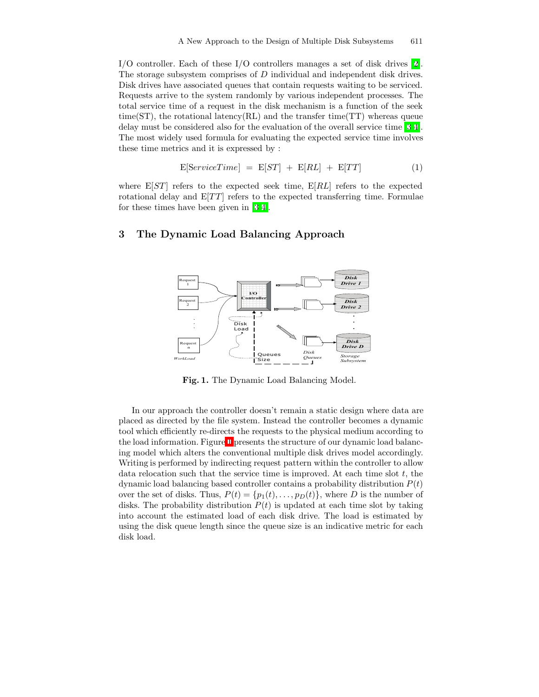$I/O$  controller. Each of these  $I/O$  controllers manages a set of disk drives [\[2\]](#page-3-4). The storage subsystem comprises of D individual and independent disk drives. Disk drives have associated queues that contain requests waiting to be serviced. Requests arrive to the system randomly by various independent processes. The total service time of a request in the disk mechanism is a function of the seek time(ST), the rotational latency(RL) and the transfer time(TT) whereas queue delay must be considered also for the evaluation of the overall service time [\[3](#page-3-5)[,4\]](#page-3-6). The most widely used formula for evaluating the expected service time involves these time metrics and it is expressed by :

$$
E[ServiceTime] = E[ST] + E[RL] + E[TT]
$$
\n(1)

where  $E\llbracket ST \rrbracket$  refers to the expected seek time,  $E\llbracket RL \rrbracket$  refers to the expected rotational delay and  $E[TT]$  refers to the expected transferring time. Formulae for these times have been given in [\[3,](#page-3-5)[4\]](#page-3-6).

# **3 The Dynamic Load Balancing Approach**



<span id="page-1-0"></span>**Fig. 1.** The Dynamic Load Balancing Model.

In our approach the controller doesn't remain a static design where data are placed as directed by the file system. Instead the controller becomes a dynamic tool which efficiently re-directs the requests to the physical medium according to the load information. Figure [1](#page-1-0) presents the structure of our dynamic load balancing model which alters the conventional multiple disk drives model accordingly. Writing is performed by indirecting request pattern within the controller to allow data relocation such that the service time is improved. At each time slot  $t$ , the dynamic load balancing based controller contains a probability distribution  $P(t)$ over the set of disks. Thus,  $P(t) = \{p_1(t), \ldots, p_D(t)\}\text{, where } D \text{ is the number of }$ disks. The probability distribution  $P(t)$  is updated at each time slot by taking into account the estimated load of each disk drive. The load is estimated by using the disk queue length since the queue size is an indicative metric for each disk load.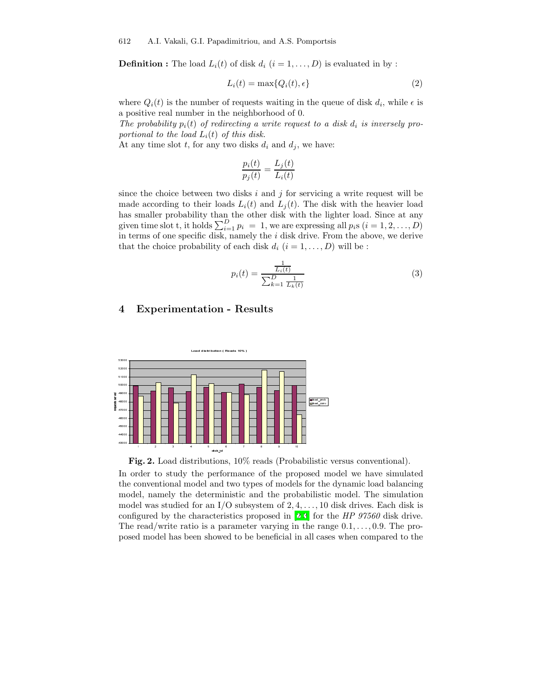**Definition :** The load  $L_i(t)$  of disk  $d_i$   $(i = 1, ..., D)$  is evaluated in by :

$$
L_i(t) = \max\{Q_i(t), \epsilon\} \tag{2}
$$

where  $Q_i(t)$  is the number of requests waiting in the queue of disk  $d_i$ , while  $\epsilon$  is a positive real number in the neighborhood of 0.

The probability  $p_i(t)$  of redirecting a write request to a disk  $d_i$  is inversely proportional to the load  $L_i(t)$  of this disk.

At any time slot t, for any two disks  $d_i$  and  $d_j$ , we have:

$$
\frac{p_i(t)}{p_j(t)} = \frac{L_j(t)}{L_i(t)}
$$

since the choice between two disks i and j for servicing a write request will be made according to their loads  $L_i(t)$  and  $L_j(t)$ . The disk with the heavier load has smaller probability than the other disk with the lighter load. Since at any given time slot t, it holds  $\sum_{i=1}^{D} p_i = 1$ , we are expressing all  $p_i$ s  $(i = 1, 2, ..., D)$ in terms of one specific disk, namely the  $i$  disk drive. From the above, we derive that the choice probability of each disk  $d_i$   $(i = 1, ..., D)$  will be :

$$
p_i(t) = \frac{\frac{1}{L_i(t)}}{\sum_{k=1}^{D} \frac{1}{L_k(t)}}
$$
\n(3)

### **4 Experimentation - Results**





<span id="page-2-0"></span>In order to study the performance of the proposed model we have simulated the conventional model and two types of models for the dynamic load balancing model, namely the deterministic and the probabilistic model. The simulation model was studied for an I/O subsystem of  $2, 4, \ldots, 10$  disk drives. Each disk is configured by the characteristics proposed in [\[2,](#page-3-4)[3\]](#page-3-5) for the *HP 97560* disk drive. The read/write ratio is a parameter varying in the range 0.1,..., 0.9. The proposed model has been showed to be beneficial in all cases when compared to the